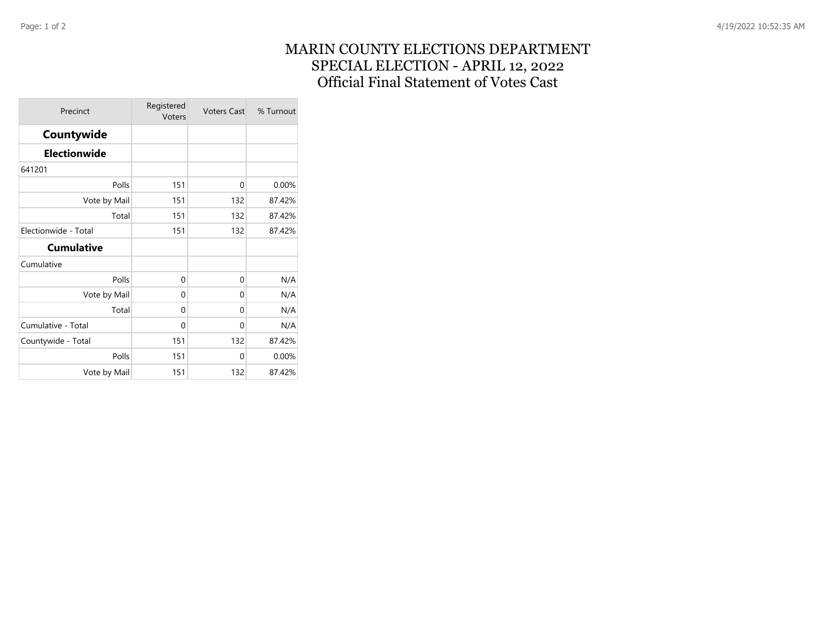## MARIN COUNTY ELECTIONS DEPARTMENT SPECIAL ELECTION - APRIL 12, 2022 Official Final Statement of Votes Cast

| Precinct             | Registered<br>Voters | <b>Voters Cast</b> | % Turnout |
|----------------------|----------------------|--------------------|-----------|
| Countywide           |                      |                    |           |
| <b>Electionwide</b>  |                      |                    |           |
| 641201               |                      |                    |           |
| Polls                | 151                  | 0                  | 0.00%     |
| Vote by Mail         | 151                  | 132                | 87.42%    |
| Total                | 151                  | 132                | 87.42%    |
| Electionwide - Total | 151                  | 132                | 87.42%    |
| <b>Cumulative</b>    |                      |                    |           |
| Cumulative           |                      |                    |           |
| Polls                | $\Omega$             | 0                  | N/A       |
| Vote by Mail         | $\Omega$             | 0                  | N/A       |
| Total                | $\Omega$             | 0                  | N/A       |
| Cumulative - Total   | 0                    | 0                  | N/A       |
| Countywide - Total   | 151                  | 132                | 87.42%    |
| Polls                | 151                  | 0                  | 0.00%     |
| Vote by Mail         | 151                  | 132                | 87.42%    |